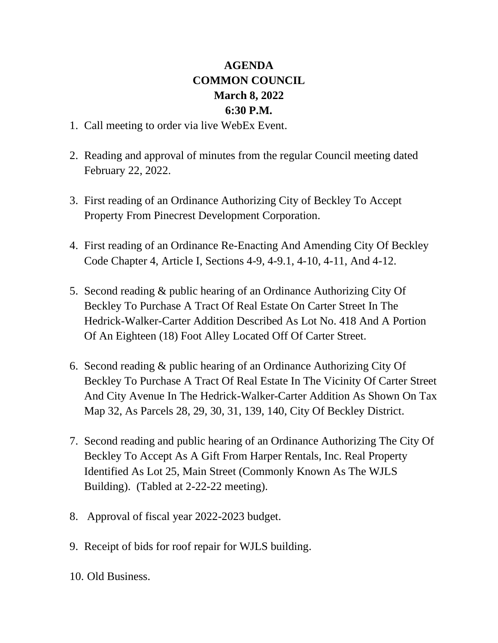## **AGENDA COMMON COUNCIL March 8, 2022 6:30 P.M.**

- 1. Call meeting to order via live WebEx Event.
- 2. Reading and approval of minutes from the regular Council meeting dated February 22, 2022.
- 3. First reading of an Ordinance Authorizing City of Beckley To Accept Property From Pinecrest Development Corporation.
- 4. First reading of an Ordinance Re-Enacting And Amending City Of Beckley Code Chapter 4, Article I, Sections 4-9, 4-9.1, 4-10, 4-11, And 4-12.
- 5. Second reading & public hearing of an Ordinance Authorizing City Of Beckley To Purchase A Tract Of Real Estate On Carter Street In The Hedrick-Walker-Carter Addition Described As Lot No. 418 And A Portion Of An Eighteen (18) Foot Alley Located Off Of Carter Street.
- 6. Second reading & public hearing of an Ordinance Authorizing City Of Beckley To Purchase A Tract Of Real Estate In The Vicinity Of Carter Street And City Avenue In The Hedrick-Walker-Carter Addition As Shown On Tax Map 32, As Parcels 28, 29, 30, 31, 139, 140, City Of Beckley District.
- 7. Second reading and public hearing of an Ordinance Authorizing The City Of Beckley To Accept As A Gift From Harper Rentals, Inc. Real Property Identified As Lot 25, Main Street (Commonly Known As The WJLS Building). (Tabled at 2-22-22 meeting).
- 8. Approval of fiscal year 2022-2023 budget.
- 9. Receipt of bids for roof repair for WJLS building.
- 10. Old Business.